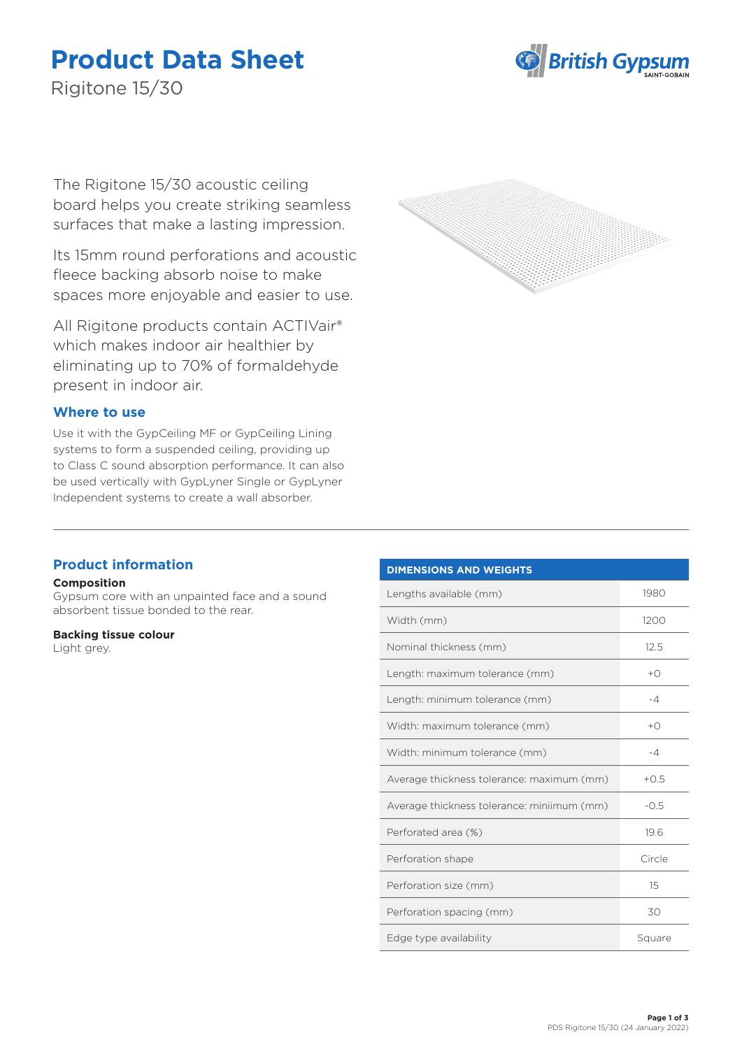# **Product Data Sheet**



Rigitone 15/30

The Rigitone 15/30 acoustic ceiling board helps you create striking seamless surfaces that make a lasting impression.

Its 15mm round perforations and acoustic fleece backing absorb noise to make spaces more enjoyable and easier to use.

All Rigitone products contain ACTIVair® which makes indoor air healthier by eliminating up to 70% of formaldehyde present in indoor air.

## **Where to use**

Use it with the GypCeiling MF or GypCeiling Lining systems to form a suspended ceiling, providing up to Class C sound absorption performance. It can also be used vertically with GypLyner Single or GypLyner Independent systems to create a wall absorber.



## **Product information**

### **Composition**

Gypsum core with an unpainted face and a sound absorbent tissue bonded to the rear.

#### **Backing tissue colour**

Light grey.

| <b>DIMENSIONS AND WEIGHTS</b>              |                |
|--------------------------------------------|----------------|
| Lengths available (mm)                     | 1980           |
| Width (mm)                                 | 1200           |
| Nominal thickness (mm)                     | 12.5           |
| Length: maximum tolerance (mm)             | $+$ $\bigcirc$ |
| Length: minimum tolerance (mm)             | $-4$           |
| Width: maximum tolerance (mm)              | $+$ $\bigcirc$ |
| Width: minimum tolerance (mm)              | $-4$           |
| Average thickness tolerance: maximum (mm)  | $+0.5$         |
| Average thickness tolerance: miniimum (mm) | $-0.5$         |
| Perforated area (%)                        | 19.6           |
| Perforation shape                          | Circle         |
| Perforation size (mm)                      | 15             |
| Perforation spacing (mm)                   | 30             |
| Edge type availability                     | Square         |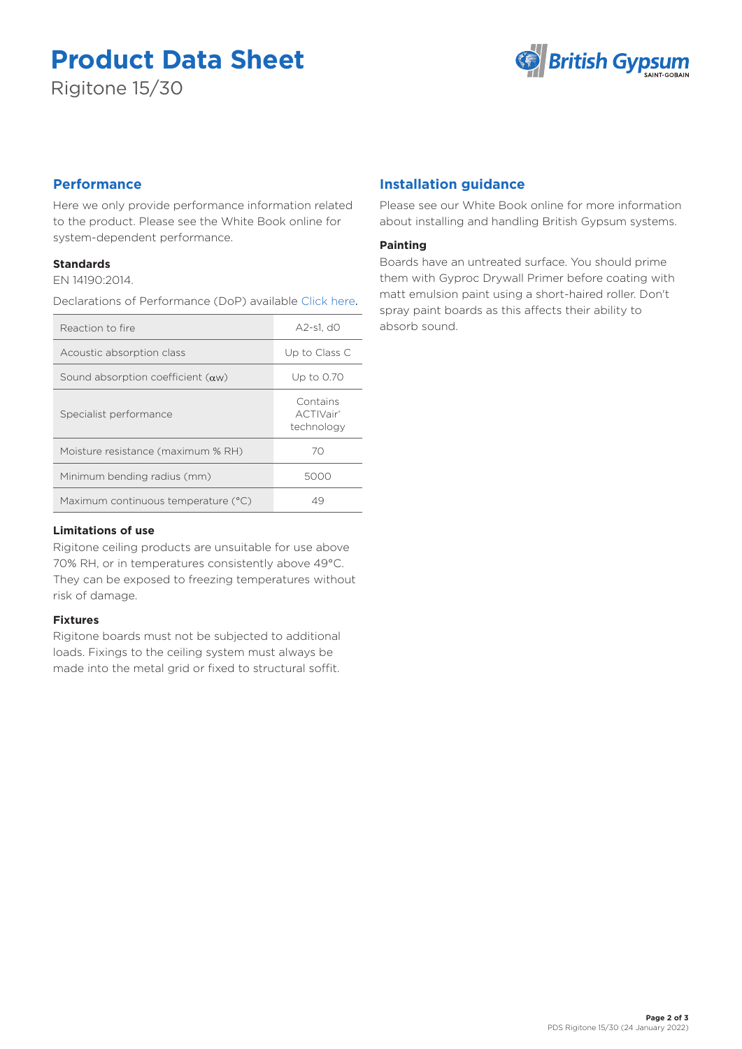# **Product Data Sheet**

Rigitone 15/30



# **Performance**

Here we only provide performance information related to the product. Please see the White Book online for system-dependent performance.

## **Standards**

EN 14190:2014.

Declarations of Performance (DoP) available [Click here](https://www.british-gypsum.com/DoP).

| Reaction to fire                          | A2-s1. d0                           |
|-------------------------------------------|-------------------------------------|
| Acoustic absorption class                 | Up to Class C                       |
| Sound absorption coefficient $(\alpha w)$ | Up to 0.70                          |
| Specialist performance                    | Contains<br>ACTIVair®<br>technology |
| Moisture resistance (maximum % RH)        | 70                                  |
| Minimum bending radius (mm)               | 5000                                |
| Maximum continuous temperature (°C)       | 49                                  |

## **Limitations of use**

Rigitone ceiling products are unsuitable for use above 70% RH, or in temperatures consistently above 49°C. They can be exposed to freezing temperatures without risk of damage.

## **Fixtures**

Rigitone boards must not be subjected to additional loads. Fixings to the ceiling system must always be made into the metal grid or fixed to structural soffit.

# **Installation guidance**

Please see our White Book online for more information about installing and handling British Gypsum systems.

## **Painting**

Boards have an untreated surface. You should prime them with Gyproc Drywall Primer before coating with matt emulsion paint using a short-haired roller. Don't spray paint boards as this affects their ability to absorb sound.